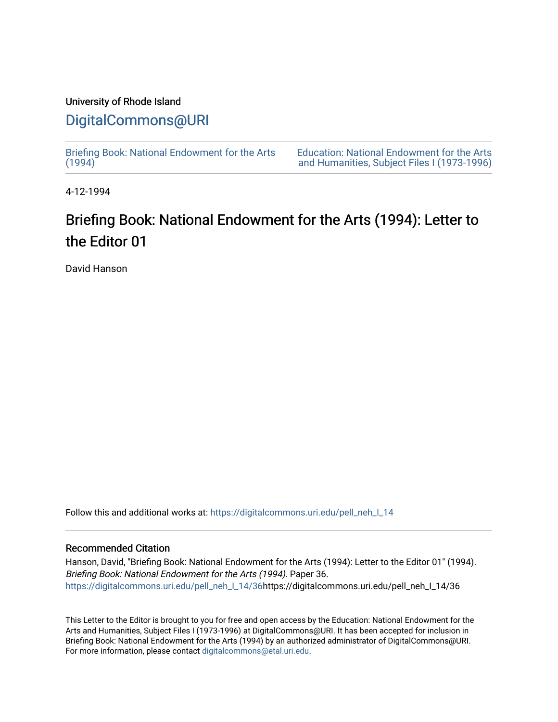## University of Rhode Island [DigitalCommons@URI](https://digitalcommons.uri.edu/)

[Briefing Book: National Endowment for the Arts](https://digitalcommons.uri.edu/pell_neh_I_14)  $(1994)$ 

[Education: National Endowment for the Arts](https://digitalcommons.uri.edu/pell_neh_I)  [and Humanities, Subject Files I \(1973-1996\)](https://digitalcommons.uri.edu/pell_neh_I) 

4-12-1994

# Briefing Book: National Endowment for the Arts (1994): Letter to the Editor 01

David Hanson

Follow this and additional works at: [https://digitalcommons.uri.edu/pell\\_neh\\_I\\_14](https://digitalcommons.uri.edu/pell_neh_I_14?utm_source=digitalcommons.uri.edu%2Fpell_neh_I_14%2F36&utm_medium=PDF&utm_campaign=PDFCoverPages) 

### Recommended Citation

Hanson, David, "Briefing Book: National Endowment for the Arts (1994): Letter to the Editor 01" (1994). Briefing Book: National Endowment for the Arts (1994). Paper 36. [https://digitalcommons.uri.edu/pell\\_neh\\_I\\_14/36h](https://digitalcommons.uri.edu/pell_neh_I_14/36?utm_source=digitalcommons.uri.edu%2Fpell_neh_I_14%2F36&utm_medium=PDF&utm_campaign=PDFCoverPages)ttps://digitalcommons.uri.edu/pell\_neh\_I\_14/36

This Letter to the Editor is brought to you for free and open access by the Education: National Endowment for the Arts and Humanities, Subject Files I (1973-1996) at DigitalCommons@URI. It has been accepted for inclusion in Briefing Book: National Endowment for the Arts (1994) by an authorized administrator of DigitalCommons@URI. For more information, please contact [digitalcommons@etal.uri.edu](mailto:digitalcommons@etal.uri.edu).